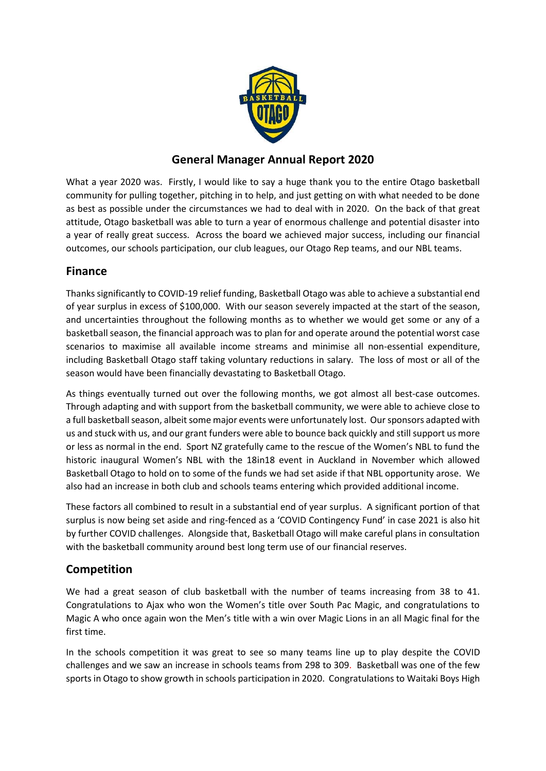

# **General Manager Annual Report 2020**

What a year 2020 was. Firstly, I would like to say a huge thank you to the entire Otago basketball community for pulling together, pitching in to help, and just getting on with what needed to be done as best as possible under the circumstances we had to deal with in 2020. On the back of that great attitude, Otago basketball was able to turn a year of enormous challenge and potential disaster into a year of really great success. Across the board we achieved major success, including our financial outcomes, our schools participation, our club leagues, our Otago Rep teams, and our NBL teams.

## **Finance**

Thanks significantly to COVID-19 relief funding, Basketball Otago was able to achieve a substantial end of year surplus in excess of \$100,000. With our season severely impacted at the start of the season, and uncertainties throughout the following months as to whether we would get some or any of a basketball season, the financial approach was to plan for and operate around the potential worst case scenarios to maximise all available income streams and minimise all non-essential expenditure, including Basketball Otago staff taking voluntary reductions in salary. The loss of most or all of the season would have been financially devastating to Basketball Otago.

As things eventually turned out over the following months, we got almost all best-case outcomes. Through adapting and with support from the basketball community, we were able to achieve close to a full basketball season, albeit some major events were unfortunately lost. Our sponsors adapted with us and stuck with us, and our grant funders were able to bounce back quickly and still support us more or less as normal in the end. Sport NZ gratefully came to the rescue of the Women's NBL to fund the historic inaugural Women's NBL with the 18in18 event in Auckland in November which allowed Basketball Otago to hold on to some of the funds we had set aside if that NBL opportunity arose. We also had an increase in both club and schools teams entering which provided additional income.

These factors all combined to result in a substantial end of year surplus. A significant portion of that surplus is now being set aside and ring-fenced as a 'COVID Contingency Fund' in case 2021 is also hit by further COVID challenges. Alongside that, Basketball Otago will make careful plans in consultation with the basketball community around best long term use of our financial reserves.

# **Competition**

We had a great season of club basketball with the number of teams increasing from 38 to 41. Congratulations to Ajax who won the Women's title over South Pac Magic, and congratulations to Magic A who once again won the Men's title with a win over Magic Lions in an all Magic final for the first time.

In the schools competition it was great to see so many teams line up to play despite the COVID challenges and we saw an increase in schools teams from 298 to 309. Basketball was one of the few sports in Otago to show growth in schools participation in 2020. Congratulations to Waitaki Boys High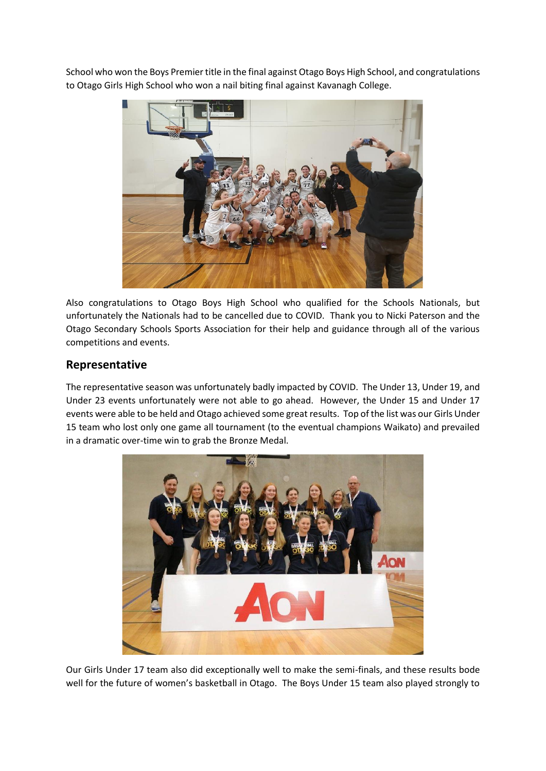School who won the Boys Premier title in the final against Otago Boys High School, and congratulations to Otago Girls High School who won a nail biting final against Kavanagh College.



Also congratulations to Otago Boys High School who qualified for the Schools Nationals, but unfortunately the Nationals had to be cancelled due to COVID. Thank you to Nicki Paterson and the Otago Secondary Schools Sports Association for their help and guidance through all of the various competitions and events.

### **Representative**

The representative season was unfortunately badly impacted by COVID. The Under 13, Under 19, and Under 23 events unfortunately were not able to go ahead. However, the Under 15 and Under 17 events were able to be held and Otago achieved some great results. Top of the list was our Girls Under 15 team who lost only one game all tournament (to the eventual champions Waikato) and prevailed in a dramatic over-time win to grab the Bronze Medal.



Our Girls Under 17 team also did exceptionally well to make the semi-finals, and these results bode well for the future of women's basketball in Otago. The Boys Under 15 team also played strongly to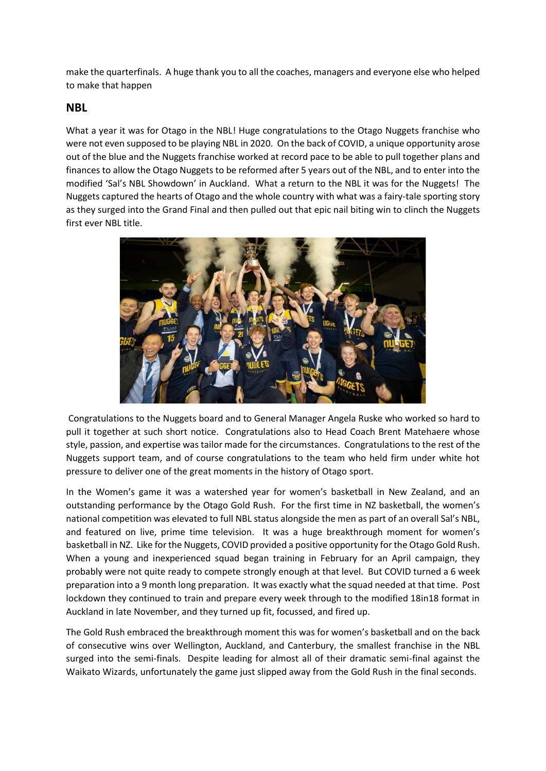make the quarterfinals. A huge thank you to all the coaches, managers and everyone else who helped to make that happen

#### **NBL**

What a year it was for Otago in the NBL! Huge congratulations to the Otago Nuggets franchise who were not even supposed to be playing NBL in 2020. On the back of COVID, a unique opportunity arose out of the blue and the Nuggets franchise worked at record pace to be able to pull together plans and finances to allow the Otago Nuggets to be reformed after 5 years out of the NBL, and to enter into the modified 'Sal's NBL Showdown' in Auckland. What a return to the NBL it was for the Nuggets! The Nuggets captured the hearts of Otago and the whole country with what was a fairy-tale sporting story as they surged into the Grand Final and then pulled out that epic nail biting win to clinch the Nuggets first ever NBL title.



Congratulations to the Nuggets board and to General Manager Angela Ruske who worked so hard to pull it together at such short notice. Congratulations also to Head Coach Brent Matehaere whose style, passion, and expertise was tailor made for the circumstances. Congratulations to the rest of the Nuggets support team, and of course congratulations to the team who held firm under white hot pressure to deliver one of the great moments in the history of Otago sport.

In the Women's game it was a watershed year for women's basketball in New Zealand, and an outstanding performance by the Otago Gold Rush. For the first time in NZ basketball, the women's national competition was elevated to full NBL status alongside the men as part of an overall Sal's NBL, and featured on live, prime time television. It was a huge breakthrough moment for women's basketball in NZ. Like for the Nuggets, COVID provided a positive opportunity for the Otago Gold Rush. When a young and inexperienced squad began training in February for an April campaign, they probably were not quite ready to compete strongly enough at that level. But COVID turned a 6 week preparation into a 9 month long preparation. It was exactly what the squad needed at that time. Post lockdown they continued to train and prepare every week through to the modified 18in18 format in Auckland in late November, and they turned up fit, focussed, and fired up.

The Gold Rush embraced the breakthrough moment this was for women's basketball and on the back of consecutive wins over Wellington, Auckland, and Canterbury, the smallest franchise in the NBL surged into the semi-finals. Despite leading for almost all of their dramatic semi-final against the Waikato Wizards, unfortunately the game just slipped away from the Gold Rush in the final seconds.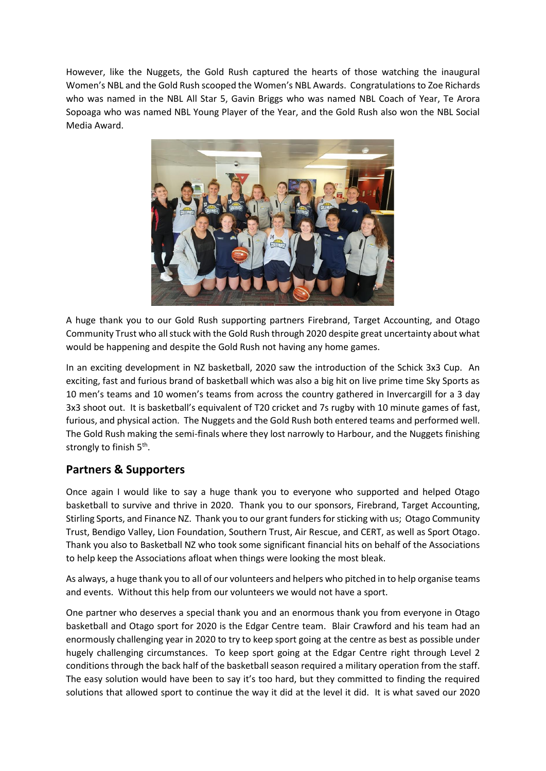However, like the Nuggets, the Gold Rush captured the hearts of those watching the inaugural Women's NBL and the Gold Rush scooped the Women's NBL Awards. Congratulations to Zoe Richards who was named in the NBL All Star 5, Gavin Briggs who was named NBL Coach of Year, Te Arora Sopoaga who was named NBL Young Player of the Year, and the Gold Rush also won the NBL Social Media Award.



A huge thank you to our Gold Rush supporting partners Firebrand, Target Accounting, and Otago Community Trust who all stuck with the Gold Rush through 2020 despite great uncertainty about what would be happening and despite the Gold Rush not having any home games.

In an exciting development in NZ basketball, 2020 saw the introduction of the Schick 3x3 Cup. An exciting, fast and furious brand of basketball which was also a big hit on live prime time Sky Sports as 10 men's teams and 10 women's teams from across the country gathered in Invercargill for a 3 day 3x3 shoot out. It is basketball's equivalent of T20 cricket and 7s rugby with 10 minute games of fast, furious, and physical action. The Nuggets and the Gold Rush both entered teams and performed well. The Gold Rush making the semi-finals where they lost narrowly to Harbour, and the Nuggets finishing strongly to finish 5<sup>th</sup>.

## **Partners & Supporters**

Once again I would like to say a huge thank you to everyone who supported and helped Otago basketball to survive and thrive in 2020. Thank you to our sponsors, Firebrand, Target Accounting, Stirling Sports, and Finance NZ. Thank you to our grant funders for sticking with us; Otago Community Trust, Bendigo Valley, Lion Foundation, Southern Trust, Air Rescue, and CERT, as well as Sport Otago. Thank you also to Basketball NZ who took some significant financial hits on behalf of the Associations to help keep the Associations afloat when things were looking the most bleak.

As always, a huge thank you to all of our volunteers and helpers who pitched in to help organise teams and events. Without this help from our volunteers we would not have a sport.

One partner who deserves a special thank you and an enormous thank you from everyone in Otago basketball and Otago sport for 2020 is the Edgar Centre team. Blair Crawford and his team had an enormously challenging year in 2020 to try to keep sport going at the centre as best as possible under hugely challenging circumstances. To keep sport going at the Edgar Centre right through Level 2 conditions through the back half of the basketball season required a military operation from the staff. The easy solution would have been to say it's too hard, but they committed to finding the required solutions that allowed sport to continue the way it did at the level it did. It is what saved our 2020